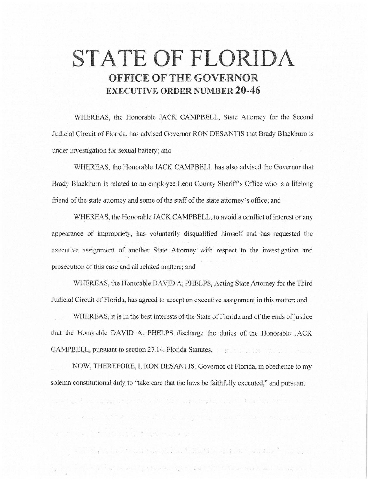# **STATE OF FLORIDA OFFICE OF THE GOVERNOR EXECUTIVE ORDER NUMBER 20-46**

WHEREAS, the Honorable JACK CAMPBELL, State Attorney for the Second Judicial Circuit of Florida, has advised Governor RON DESANTIS that Brady Blackbum is under investigation for sexual battery; and

WHEREAS, the Honorable JACK CAMPBELL has also advised the Governor that Brady Blackbum is related to an employee Leon County Sheriff's Office who is a lifelong friend of the state attorney and some of the staff of the state attorney's office; and

WHEREAS, the Honorable JACK CAMPBELL, to avoid a conflict of interest or any appearance of impropriety, has voluntarily disqualified himself and has requested the executive assignment of another State Attorney with respect to the investigation and prosecution of this case and all related matters; and

WHEREAS, the Honorable DAVID A. PHELPS, Acting State Attorney for the Third Judicial Circuit of Florida, has agreed to accept an executive assignment in this matter; and

\\lHEREAS, it is in the. best interests of the State of Florida and of the ends of justice that the Honorable DAVID A, PHELPS discharge the duties of the Honorable JACK CAMPBELL, pursuant to section 27.14, Florida Statutes\_.

NOW, THEREFORE, I, RON DESANTIS, Governor of Florida, in obedience to my solemn constitutional duty to "take care that the laws be faithfully executed," and pursuant

and Alacty a contract them. The final state of a state of the state of the

 $\mathbb{E}[\mathcal{E}(\mathbf{r})] = \mathbb{E}[\mathcal{E}(\mathbf{r})] = \mathbb{E}[\mathbf{r},\mathbf{r}] = \mathbb{E}[\mathbf{r}]\mathbb{E}[\mathbf{r}]\mathbb{E}[\mathbf{r}]\mathbb{E}[\mathbf{r}]\mathbb{E}[\mathbf{r}]\mathbb{E}[\mathbf{r}]\mathbb{E}[\mathbf{r}]\mathbb{E}[\mathbf{r}]\mathbb{E}[\mathbf{r}]\mathbb{E}[\mathbf{r}]\mathbb{E}[\mathbf{r}]\mathbb{E}[\mathbf{r}]\mathbb{E}[\mathbf{r}]\mathbb{E$ 

with land as make at print, all the complete limits with

there esage is the start and receiving the class in the companion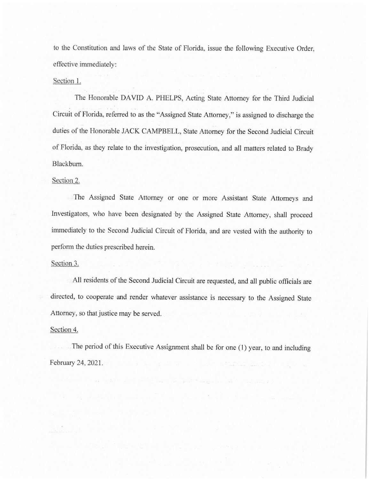to the Constitution and laws of the State of Florida, issue the following Executive Order, effective immediately:

## Section 1.

The Honorable DAVID A. PHELPS, Acting State Attorney for the Third Judicial Circuit of Florida, referred to as the "Assigned State Attorney," is assigned to discharge the duties of the Honorable JACK CAMPBELL, State Attorney for the Second Judicial Circuit of Florida, as they relate to the investigation, prosecution, and all matters related to Brady Blackburn.

## Section 2.

The Assigned State Attorney or one or more Assistant State Attorneys and Investigators, who have been designated by the Assigned State Attorney, shall proceed immediately to the Second Judicial Circuit of Florida, and are vested with the authority to perform the duties prescribed herein.

#### Section 3.

All residents of the Second Judicial Circuit are requested, and all public officials are directed, to cooperate and render whatever assistance is necessary to the Assigned State Attorney, so that justice may be served.

the Common and Common

#### Section 4.

The period of this Executive Assignment shall be for one (1) year, to and including February 24, 2021.

and the state of the state of the state of the state of the state of the state of the state of the state of the